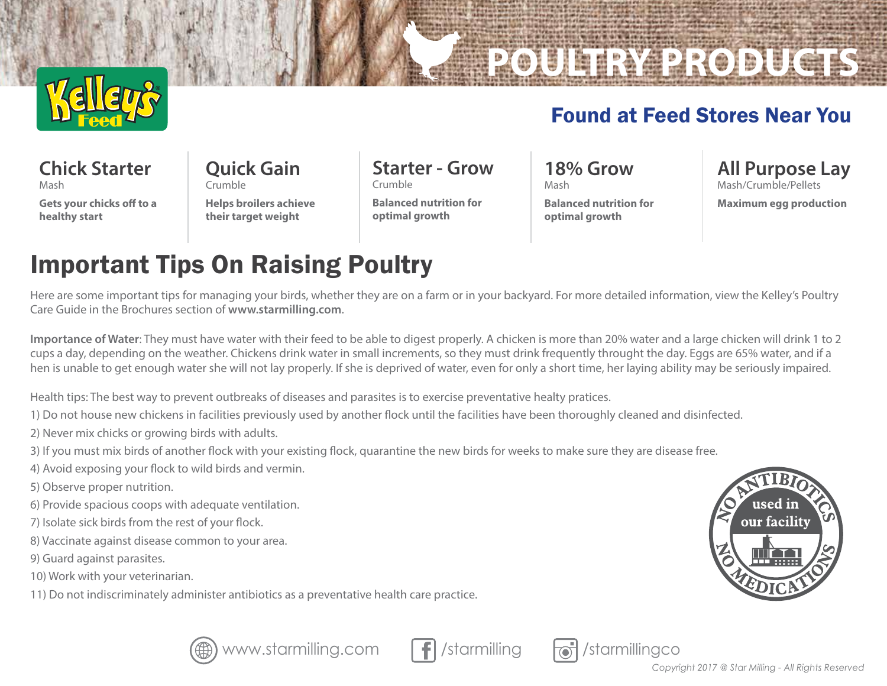

## Found at Feed Stores Near You

**POULTRY PRODUCTS**

**Chick Starter** Mash

**Gets your chicks off to a healthy start**

**Quick Gain** Crumble

**Helps broilers achieve their target weight**

**Starter - Grow** Crumble

**Balanced nutrition for optimal growth**

**18% Grow** Mash **Balanced nutrition for** 

**optimal growth**

**All Purpose Lay**  Mash/Crumble/Pellets **Maximum egg production**

## Important Tips On Raising Poultry

Here are some important tips for managing your birds, whether they are on a farm or in your backyard. For more detailed information, view the Kelley's Poultry Care Guide in the Brochures section of **www.starmilling.com**.

**Importance of Water**: They must have water with their feed to be able to digest properly. A chicken is more than 20% water and a large chicken will drink 1 to 2 cups a day, depending on the weather. Chickens drink water in small increments, so they must drink frequently throught the day. Eggs are 65% water, and if a hen is unable to get enough water she will not lay properly. If she is deprived of water, even for only a short time, her laying ability may be seriously impaired.

Health tips: The best way to prevent outbreaks of diseases and parasites is to exercise preventative healty pratices.

1) Do not house new chickens in facilities previously used by another flock until the facilities have been thoroughly cleaned and disinfected.

- 2) Never mix chicks or growing birds with adults.
- 3) If you must mix birds of another flock with your existing flock, quarantine the new birds for weeks to make sure they are disease free.
- 4) Avoid exposing your flock to wild birds and vermin.
- 5) Observe proper nutrition.
- 6) Provide spacious coops with adequate ventilation.
- 7) Isolate sick birds from the rest of your flock.
- 8) Vaccinate against disease common to your area.
- 9) Guard against parasites.
- 10) Work with your veterinarian.
- 11) Do not indiscriminately administer antibiotics as a preventative health care practice.





www.starmilling.com  $\|\cdot\|$  /starmilling  $\|\cdot\|$  /starmillingco